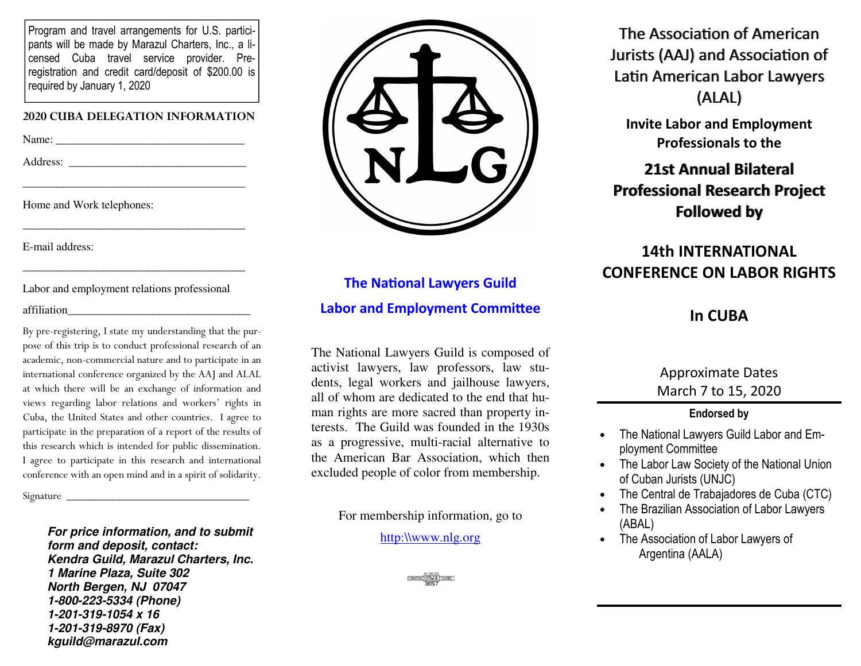Program and travel arrangements for U.S. participants will be made by Marazul Charters, Inc., a licensed Cuba travel service provider. Preregistration and credit card/deposit of \$200.00 is required by January 1, 2020

#### **2020 CUBA DELEGATION INFORMATION**

Name: \_\_\_\_\_\_\_\_\_\_\_\_\_\_\_\_\_\_\_\_\_\_\_\_\_\_\_\_\_\_\_\_\_

Address: \_\_\_\_\_\_\_\_\_\_\_\_\_\_\_\_\_\_\_\_\_\_\_\_\_\_\_\_\_\_\_

Home and Work telephones:

E-mail address:

Labor and employment relations professional

 $\overline{\phantom{a}}$  , and the set of the set of the set of the set of the set of the set of the set of the set of the set of the set of the set of the set of the set of the set of the set of the set of the set of the set of the s

 $\overline{\phantom{a}}$  , and the set of the set of the set of the set of the set of the set of the set of the set of the set of the set of the set of the set of the set of the set of the set of the set of the set of the set of the s

#### affiliation

By pre-registering, I state my understanding that the purpose of this trip is to conduct professional research of an academic, non-commercial nature and to participate in an international conference organized by the AAJ and ALAL at which there will be an exchange of information and views regarding labor relations and workers' rights in Cuba, the United States and other countries. I agree to participate in the preparation of a report of the results of this research which is intended for public dissemination. I agree to participate in this research and international conference with an open mind and in a spirit of solidarity.

Signature \_\_\_\_\_\_\_\_\_\_\_\_\_\_\_\_\_\_\_\_\_\_\_\_\_\_\_\_\_\_\_\_

*For price information, and to submit form and deposit, contact: Kendra Guild, Marazul Charters, Inc. 1 Marine Plaza, Suite 302 North Bergen, NJ 07047 1-800-223-5334 (Phone) 1-201-319-1054 x 16 1-201-319-8970 (Fax) kguild@marazul.com*



# **The National Lawyers Guild Labor and Employment Committee**

The National Lawyers Guild is composed of activist lawyers, law professors, law students, legal workers and jailhouse lawyers, all of whom are dedicated to the end that human rights are more sacred than property interests. The Guild was founded in the 1930s as a progressive, multi-racial alternative to the American Bar Association, which then excluded people of color from membership.

For membership information, go to

http:\\www.nlg.org



The Association of American Jurists (AAJ) and Association of Latin American Labor Lawyers (ALAL)

**Invite Labor and Employment Professionals to the** 

**21st Annual Bilateral Professional Research ProjectFollowed by**

# **14th INTERNATIONAL CONFERENCE ON LABOR RIGHTS**

# **In CUBA**

## Approximate Dates March 7 to 15, 2020

### **Endorsed by**

- The National Lawyers Guild Labor and Employment Committee
- The Labor Law Society of the National Union of Cuban Jurists (UNJC)
- The Central de Trabajadores de Cuba (CTC)
- The Brazilian Association of Labor Lawyers (ABAL)
- The Association of Labor Lawyers of Argentina (AALA)